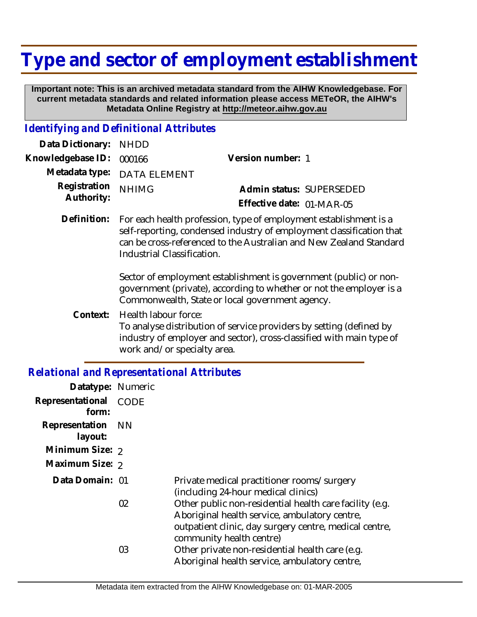# **Type and sector of employment establishment**

 **Important note: This is an archived metadata standard from the AIHW Knowledgebase. For current metadata standards and related information please access METeOR, the AIHW's Metadata Online Registry at http://meteor.aihw.gov.au**

#### *Identifying and Definitional Attributes*

| Data Dictionary: NHDD            |                             |                           |  |
|----------------------------------|-----------------------------|---------------------------|--|
| Knowledgebase ID: 000166         |                             | Version number: 1         |  |
|                                  | Metadata type: DATA ELEMENT |                           |  |
| Registration NHIMG<br>Authority: |                             | Admin status: SUPERSEDED  |  |
|                                  |                             | Effective date: 01-MAR-05 |  |
|                                  |                             |                           |  |

Definition: For each health profession, type of employment establishment is a self-reporting, condensed industry of employment classification that can be cross-referenced to the Australian and New Zealand Standard Industrial Classification.

> Sector of employment establishment is government (public) or nongovernment (private), according to whether or not the employer is a Commonwealth, State or local government agency.

Health labour force: To analyse distribution of service providers by setting (defined by industry of employer and sector), cross-classified with main type of work and/or specialty area. **Context:**

### *Relational and Representational Attributes*

| Datatype: Numeric         |             |                                                                                                                                                                                                |
|---------------------------|-------------|------------------------------------------------------------------------------------------------------------------------------------------------------------------------------------------------|
| Representational<br>form: | <b>CODE</b> |                                                                                                                                                                                                |
| Representation<br>layout: | - NN        |                                                                                                                                                                                                |
| Minimum Size: 2           |             |                                                                                                                                                                                                |
| Maximum Size: 2           |             |                                                                                                                                                                                                |
| Data Domain: 01           |             | Private medical practitioner rooms/surgery<br>(including 24-hour medical clinics)                                                                                                              |
|                           | 02          | Other public non-residential health care facility (e.g.<br>Aboriginal health service, ambulatory centre,<br>outpatient clinic, day surgery centre, medical centre,<br>community health centre) |
|                           | 03          | Other private non-residential health care (e.g.<br>Aboriginal health service, ambulatory centre,                                                                                               |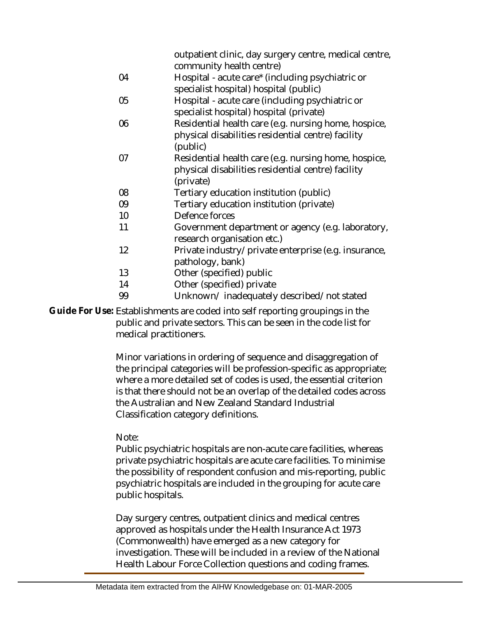| outpatient clinic, day surgery centre, medical centre, |
|--------------------------------------------------------|
| community health centre)                               |

- 04 Hospital - acute care\* (including psychiatric or specialist hospital) hospital (public)
- 05 Hospital - acute care (including psychiatric or specialist hospital) hospital (private)
- 06 Residential health care (e.g. nursing home, hospice, physical disabilities residential centre) facility (public)
- 07 Residential health care (e.g. nursing home, hospice, physical disabilities residential centre) facility (private)
- 08 Tertiary education institution (public)
- 09 Tertiary education institution (private)
- 10 Defence forces
- 11 Government department or agency (e.g. laboratory, research organisation etc.)
- 12 Private industry/private enterprise (e.g. insurance, pathology, bank)
- 13 Other (specified) public
- 14 Other (specified) private
- 99 Unknown/ inadequately described/not stated

Guide For Use: Establishments are coded into self reporting groupings in the public and private sectors. This can be seen in the code list for medical practitioners.

> Minor variations in ordering of sequence and disaggregation of the principal categories will be profession-specific as appropriate; where a more detailed set of codes is used, the essential criterion is that there should not be an overlap of the detailed codes across the Australian and New Zealand Standard Industrial Classification category definitions.

### Note:

Public psychiatric hospitals are non-acute care facilities, whereas private psychiatric hospitals are acute care facilities. To minimise the possibility of respondent confusion and mis-reporting, public psychiatric hospitals are included in the grouping for acute care public hospitals.

Day surgery centres, outpatient clinics and medical centres approved as hospitals under the Health Insurance Act 1973 (Commonwealth) have emerged as a new category for investigation. These will be included in a review of the National Health Labour Force Collection questions and coding frames.